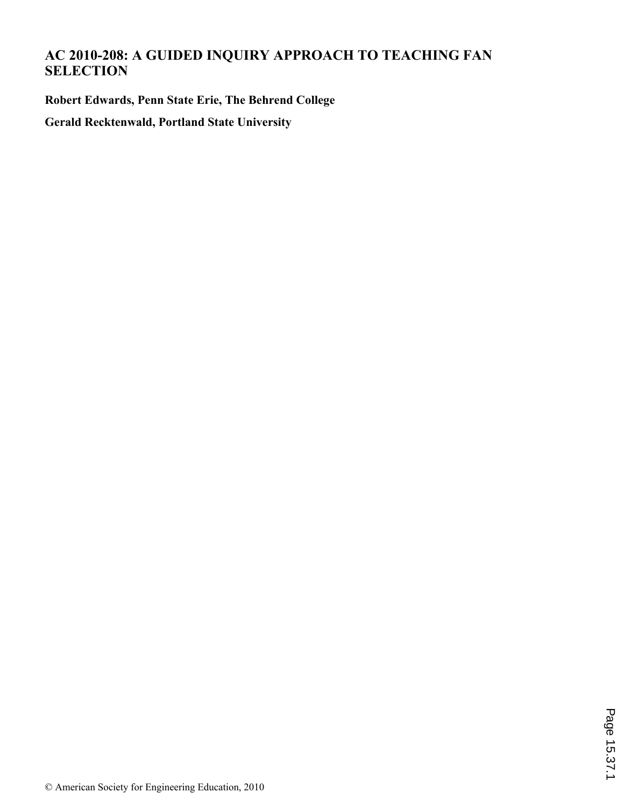# **AC 2010-208: A GUIDED INQUIRY APPROACH TO TEACHING FAN SELECTION**

**Robert Edwards, Penn State Erie, The Behrend College**

**Gerald Recktenwald, Portland State University**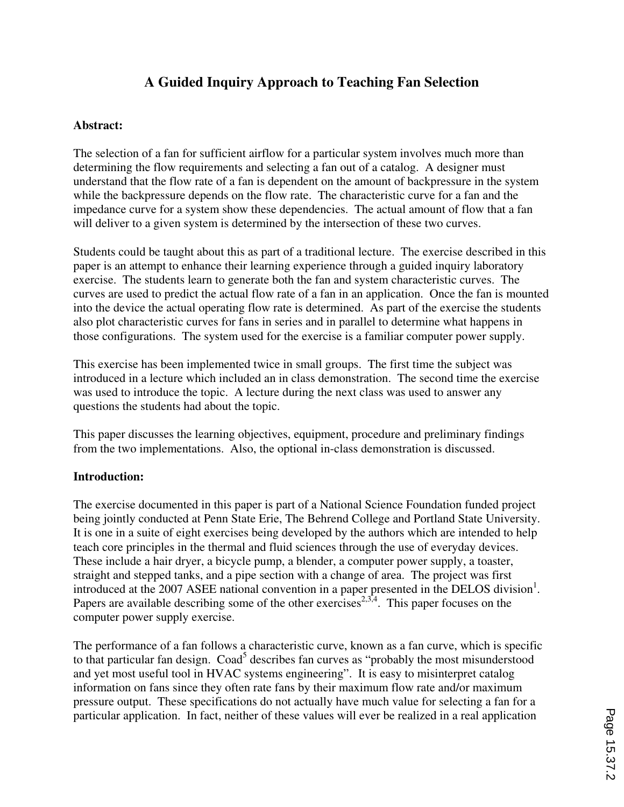## **A Guided Inquiry Approach to Teaching Fan Selection**

#### **Abstract:**

The selection of a fan for sufficient airflow for a particular system involves much more than determining the flow requirements and selecting a fan out of a catalog. A designer must understand that the flow rate of a fan is dependent on the amount of backpressure in the system while the backpressure depends on the flow rate. The characteristic curve for a fan and the impedance curve for a system show these dependencies. The actual amount of flow that a fan will deliver to a given system is determined by the intersection of these two curves.

Students could be taught about this as part of a traditional lecture. The exercise described in this paper is an attempt to enhance their learning experience through a guided inquiry laboratory exercise. The students learn to generate both the fan and system characteristic curves. The curves are used to predict the actual flow rate of a fan in an application. Once the fan is mounted into the device the actual operating flow rate is determined. As part of the exercise the students also plot characteristic curves for fans in series and in parallel to determine what happens in those configurations. The system used for the exercise is a familiar computer power supply.

This exercise has been implemented twice in small groups. The first time the subject was introduced in a lecture which included an in class demonstration. The second time the exercise was used to introduce the topic. A lecture during the next class was used to answer any questions the students had about the topic.

This paper discusses the learning objectives, equipment, procedure and preliminary findings from the two implementations. Also, the optional in-class demonstration is discussed.

## **Introduction:**

The exercise documented in this paper is part of a National Science Foundation funded project being jointly conducted at Penn State Erie, The Behrend College and Portland State University. It is one in a suite of eight exercises being developed by the authors which are intended to help teach core principles in the thermal and fluid sciences through the use of everyday devices. These include a hair dryer, a bicycle pump, a blender, a computer power supply, a toaster, straight and stepped tanks, and a pipe section with a change of area. The project was first introduced at the 2007 ASEE national convention in a paper presented in the DELOS division<sup>1</sup>. Papers are available describing some of the other exercises<sup>2,3,4</sup>. This paper focuses on the computer power supply exercise.

The performance of a fan follows a characteristic curve, known as a fan curve, which is specific to that particular fan design. Coad<sup>5</sup> describes fan curves as "probably the most misunderstood and yet most useful tool in HVAC systems engineering". It is easy to misinterpret catalog information on fans since they often rate fans by their maximum flow rate and/or maximum pressure output. These specifications do not actually have much value for selecting a fan for a particular application. In fact, neither of these values will ever be realized in a real application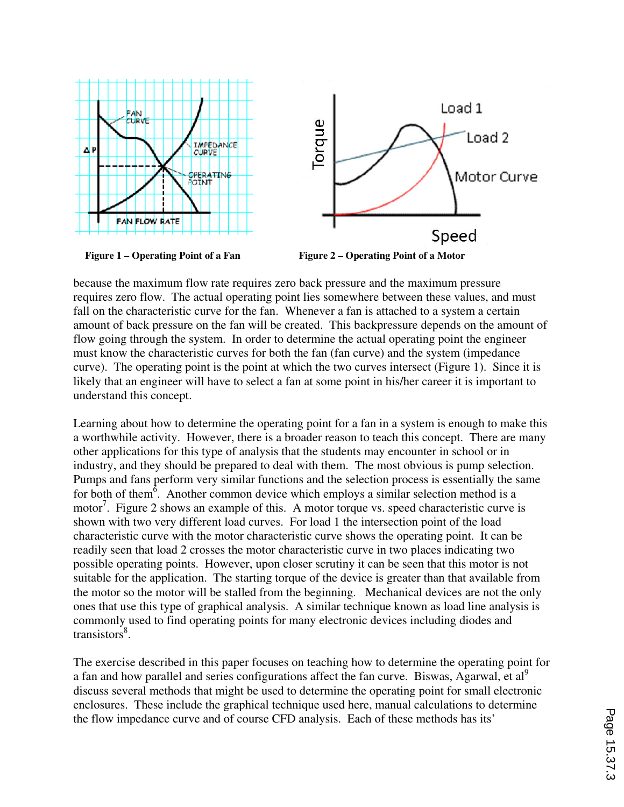

because the maximum flow rate requires zero back pressure and the maximum pressure requires zero flow. The actual operating point lies somewhere between these values, and must fall on the characteristic curve for the fan. Whenever a fan is attached to a system a certain amount of back pressure on the fan will be created. This backpressure depends on the amount of flow going through the system. In order to determine the actual operating point the engineer must know the characteristic curves for both the fan (fan curve) and the system (impedance curve). The operating point is the point at which the two curves intersect (Figure 1). Since it is likely that an engineer will have to select a fan at some point in his/her career it is important to understand this concept.

Learning about how to determine the operating point for a fan in a system is enough to make this a worthwhile activity. However, there is a broader reason to teach this concept. There are many other applications for this type of analysis that the students may encounter in school or in industry, and they should be prepared to deal with them. The most obvious is pump selection. Pumps and fans perform very similar functions and the selection process is essentially the same for both of them<sup> $\delta$ </sup>. Another common device which employs a similar selection method is a motor<sup>7</sup>. Figure 2 shows an example of this. A motor torque vs. speed characteristic curve is shown with two very different load curves. For load 1 the intersection point of the load characteristic curve with the motor characteristic curve shows the operating point. It can be readily seen that load 2 crosses the motor characteristic curve in two places indicating two possible operating points. However, upon closer scrutiny it can be seen that this motor is not suitable for the application. The starting torque of the device is greater than that available from the motor so the motor will be stalled from the beginning. Mechanical devices are not the only ones that use this type of graphical analysis. A similar technique known as load line analysis is commonly used to find operating points for many electronic devices including diodes and transistors<sup>8</sup>.

The exercise described in this paper focuses on teaching how to determine the operating point for a fan and how parallel and series configurations affect the fan curve. Biswas, Agarwal, et al<sup>9</sup> discuss several methods that might be used to determine the operating point for small electronic enclosures. These include the graphical technique used here, manual calculations to determine the flow impedance curve and of course CFD analysis. Each of these methods has its'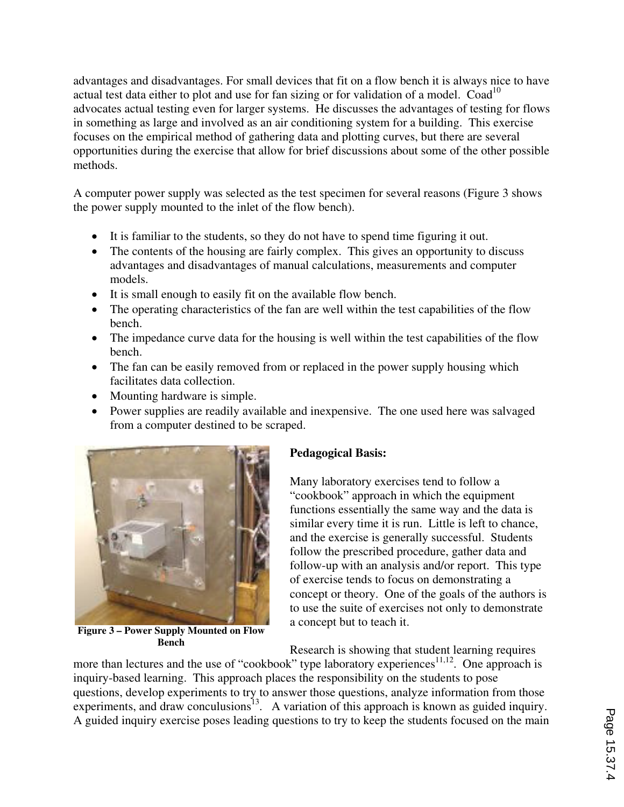advantages and disadvantages. For small devices that fit on a flow bench it is always nice to have actual test data either to plot and use for fan sizing or for validation of a model.  $Coad<sup>10</sup>$ advocates actual testing even for larger systems. He discusses the advantages of testing for flows in something as large and involved as an air conditioning system for a building. This exercise focuses on the empirical method of gathering data and plotting curves, but there are several opportunities during the exercise that allow for brief discussions about some of the other possible methods.

A computer power supply was selected as the test specimen for several reasons (Figure 3 shows the power supply mounted to the inlet of the flow bench).

- It is familiar to the students, so they do not have to spend time figuring it out.
- The contents of the housing are fairly complex. This gives an opportunity to discuss advantages and disadvantages of manual calculations, measurements and computer models.
- It is small enough to easily fit on the available flow bench.
- The operating characteristics of the fan are well within the test capabilities of the flow bench.
- The impedance curve data for the housing is well within the test capabilities of the flow bench.
- The fan can be easily removed from or replaced in the power supply housing which facilitates data collection.
- Mounting hardware is simple.
- Power supplies are readily available and inexpensive. The one used here was salvaged from a computer destined to be scraped.



**Figure 3 – Power Supply Mounted on Flow Bench** 

## **Pedagogical Basis:**

Many laboratory exercises tend to follow a "cookbook" approach in which the equipment functions essentially the same way and the data is similar every time it is run. Little is left to chance, and the exercise is generally successful. Students follow the prescribed procedure, gather data and follow-up with an analysis and/or report. This type of exercise tends to focus on demonstrating a concept or theory. One of the goals of the authors is to use the suite of exercises not only to demonstrate a concept but to teach it.

Research is showing that student learning requires more than lectures and the use of "cookbook" type laboratory experiences<sup>11,12</sup>. One approach is inquiry-based learning. This approach places the responsibility on the students to pose questions, develop experiments to try to answer those questions, analyze information from those experiments, and draw conculusions<sup>13</sup>. A variation of this approach is known as guided inquiry. A guided inquiry exercise poses leading questions to try to keep the students focused on the main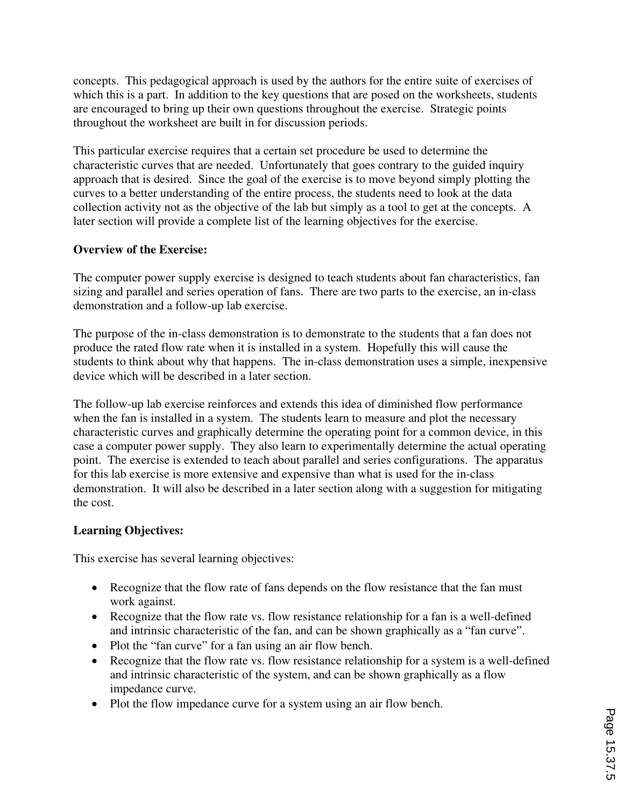concepts. This pedagogical approach is used by the authors for the entire suite of exercises of which this is a part. In addition to the key questions that are posed on the worksheets, students are encouraged to bring up their own questions throughout the exercise. Strategic points throughout the worksheet are built in for discussion periods.

This particular exercise requires that a certain set procedure be used to determine the characteristic curves that are needed. Unfortunately that goes contrary to the guided inquiry approach that is desired. Since the goal of the exercise is to move beyond simply plotting the curves to a better understanding of the entire process, the students need to look at the data collection activity not as the objective of the lab but simply as a tool to get at the concepts. A later section will provide a complete list of the learning objectives for the exercise.

## **Overview of the Exercise:**

The computer power supply exercise is designed to teach students about fan characteristics, fan sizing and parallel and series operation of fans. There are two parts to the exercise, an in-class demonstration and a follow-up lab exercise.

The purpose of the in-class demonstration is to demonstrate to the students that a fan does not produce the rated flow rate when it is installed in a system. Hopefully this will cause the students to think about why that happens. The in-class demonstration uses a simple, inexpensive device which will be described in a later section.

The follow-up lab exercise reinforces and extends this idea of diminished flow performance when the fan is installed in a system. The students learn to measure and plot the necessary characteristic curves and graphically determine the operating point for a common device, in this case a computer power supply. They also learn to experimentally determine the actual operating point. The exercise is extended to teach about parallel and series configurations. The apparatus for this lab exercise is more extensive and expensive than what is used for the in-class demonstration. It will also be described in a later section along with a suggestion for mitigating the cost.

## **Learning Objectives:**

This exercise has several learning objectives:

- Recognize that the flow rate of fans depends on the flow resistance that the fan must work against.
- Recognize that the flow rate vs. flow resistance relationship for a fan is a well-defined and intrinsic characteristic of the fan, and can be shown graphically as a "fan curve".
- Plot the "fan curve" for a fan using an air flow bench.
- Recognize that the flow rate vs. flow resistance relationship for a system is a well-defined and intrinsic characteristic of the system, and can be shown graphically as a flow impedance curve.
- Plot the flow impedance curve for a system using an air flow bench.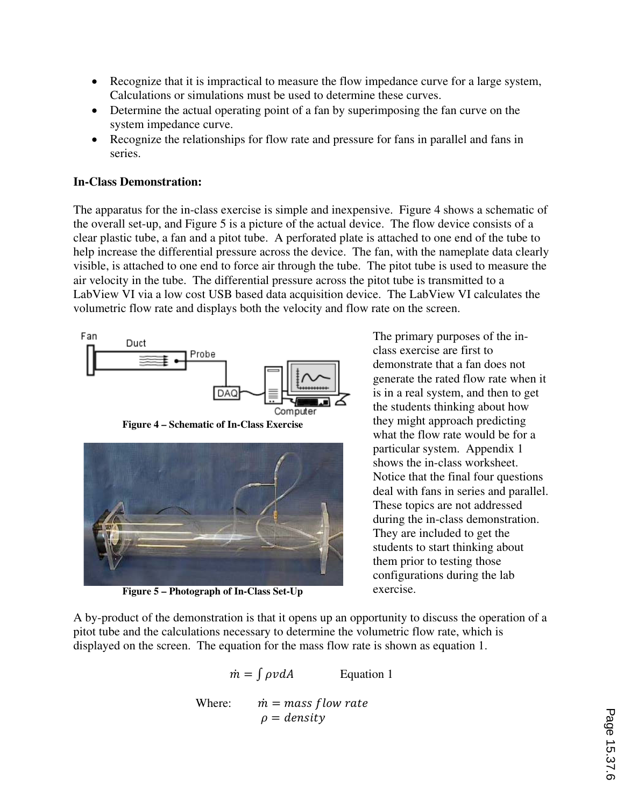- Recognize that it is impractical to measure the flow impedance curve for a large system, Calculations or simulations must be used to determine these curves.
- Determine the actual operating point of a fan by superimposing the fan curve on the system impedance curve.
- Recognize the relationships for flow rate and pressure for fans in parallel and fans in series.

## **In-Class Demonstration:**

The apparatus for the in-class exercise is simple and inexpensive. Figure 4 shows a schematic of the overall set-up, and Figure 5 is a picture of the actual device. The flow device consists of a clear plastic tube, a fan and a pitot tube. A perforated plate is attached to one end of the tube to help increase the differential pressure across the device. The fan, with the nameplate data clearly visible, is attached to one end to force air through the tube. The pitot tube is used to measure the air velocity in the tube. The differential pressure across the pitot tube is transmitted to a LabView VI via a low cost USB based data acquisition device. The LabView VI calculates the volumetric flow rate and displays both the velocity and flow rate on the screen.



**Figure 4 – Schematic of In-Class Exercise** 



**Figure 5 – Photograph of In-Class Set-Up** 

The primary purposes of the inclass exercise are first to demonstrate that a fan does not generate the rated flow rate when it is in a real system, and then to get the students thinking about how they might approach predicting what the flow rate would be for a particular system. Appendix 1 shows the in-class worksheet. Notice that the final four questions deal with fans in series and parallel. These topics are not addressed during the in-class demonstration. They are included to get the students to start thinking about them prior to testing those configurations during the lab exercise.

A by-product of the demonstration is that it opens up an opportunity to discuss the operation of a pitot tube and the calculations necessary to determine the volumetric flow rate, which is displayed on the screen. The equation for the mass flow rate is shown as equation 1.

$$
\dot{m} = \int \rho v dA
$$
 Equation 1  
Where: 
$$
\dot{m} = \text{mass} \text{flow rate}
$$

$$
\rho = \text{density}
$$

Page 15.37.6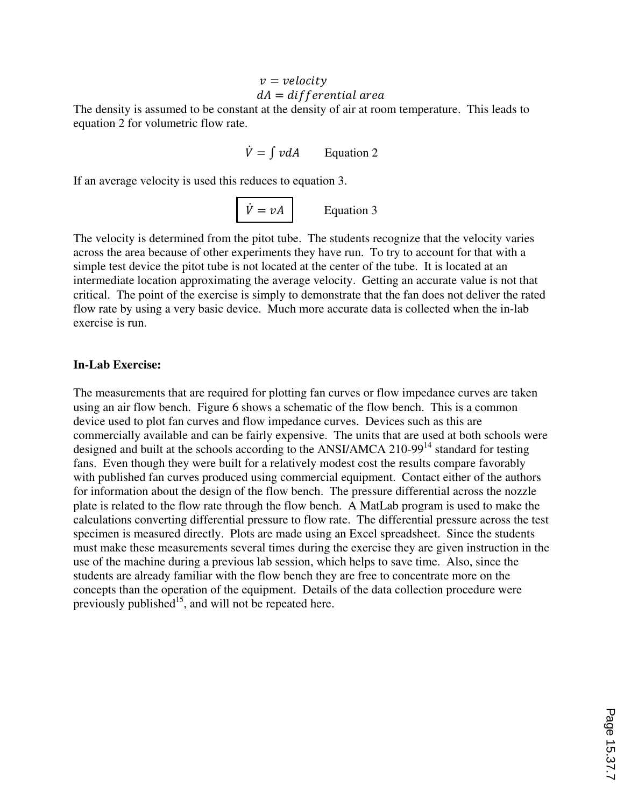# $v = velocity$

## $dA = differential \, area$

The density is assumed to be constant at the density of air at room temperature. This leads to equation 2 for volumetric flow rate.

 $\dot{V} = \int v dA$  Equation 2

If an average velocity is used this reduces to equation 3.

 $\dot{V} = vA$  Equation 3

The velocity is determined from the pitot tube. The students recognize that the velocity varies across the area because of other experiments they have run. To try to account for that with a simple test device the pitot tube is not located at the center of the tube. It is located at an intermediate location approximating the average velocity. Getting an accurate value is not that critical. The point of the exercise is simply to demonstrate that the fan does not deliver the rated flow rate by using a very basic device. Much more accurate data is collected when the in-lab exercise is run.

#### **In-Lab Exercise:**

The measurements that are required for plotting fan curves or flow impedance curves are taken using an air flow bench. Figure 6 shows a schematic of the flow bench. This is a common device used to plot fan curves and flow impedance curves. Devices such as this are commercially available and can be fairly expensive. The units that are used at both schools were designed and built at the schools according to the ANSI/AMCA 210-99<sup>14</sup> standard for testing fans. Even though they were built for a relatively modest cost the results compare favorably with published fan curves produced using commercial equipment. Contact either of the authors for information about the design of the flow bench. The pressure differential across the nozzle plate is related to the flow rate through the flow bench. A MatLab program is used to make the calculations converting differential pressure to flow rate. The differential pressure across the test specimen is measured directly. Plots are made using an Excel spreadsheet. Since the students must make these measurements several times during the exercise they are given instruction in the use of the machine during a previous lab session, which helps to save time. Also, since the students are already familiar with the flow bench they are free to concentrate more on the concepts than the operation of the equipment. Details of the data collection procedure were previously published<sup>15</sup>, and will not be repeated here.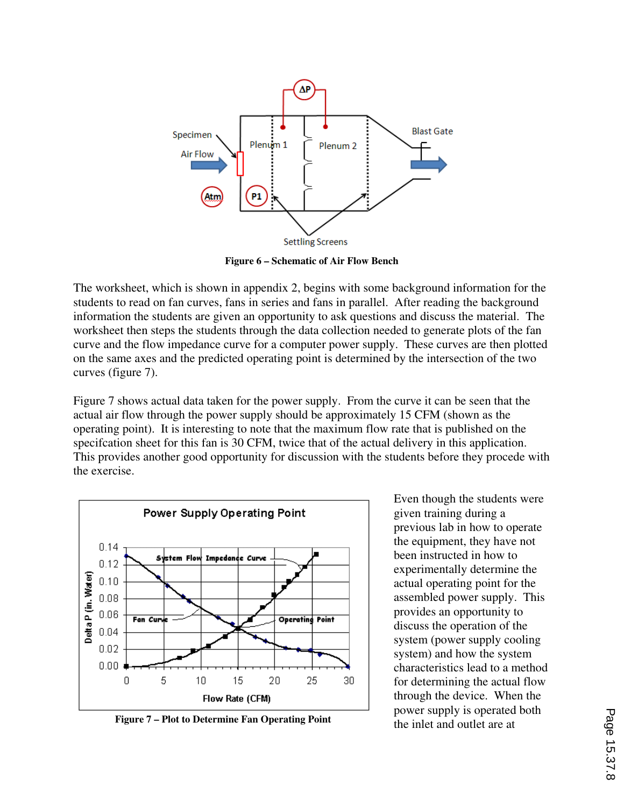

**Figure 6 – Schematic of Air Flow Bench**

The worksheet, which is shown in appendix 2, begins with some background information for the students to read on fan curves, fans in series and fans in parallel. After reading the background information the students are given an opportunity to ask questions and discuss the material. The worksheet then steps the students through the data collection needed to generate plots of the fan curve and the flow impedance curve for a computer power supply. These curves are then plotted on the same axes and the predicted operating point is determined by the intersection of the two curves (figure 7).

Figure 7 shows actual data taken for the power supply. From the curve it can be seen that the actual air flow through the power supply should be approximately 15 CFM (shown as the operating point). It is interesting to note that the maximum flow rate that is published on the specifcation sheet for this fan is 30 CFM, twice that of the actual delivery in this application. This provides another good opportunity for discussion with the students before they procede with the exercise.



**Figure 7 – Plot to Determine Fan Operating Point** 

Even though the students were given training during a previous lab in how to operate the equipment, they have not been instructed in how to experimentally determine the actual operating point for the assembled power supply. This provides an opportunity to discuss the operation of the system (power supply cooling system) and how the system characteristics lead to a method for determining the actual flow through the device. When the power supply is operated both<br>the inlet and outlet are at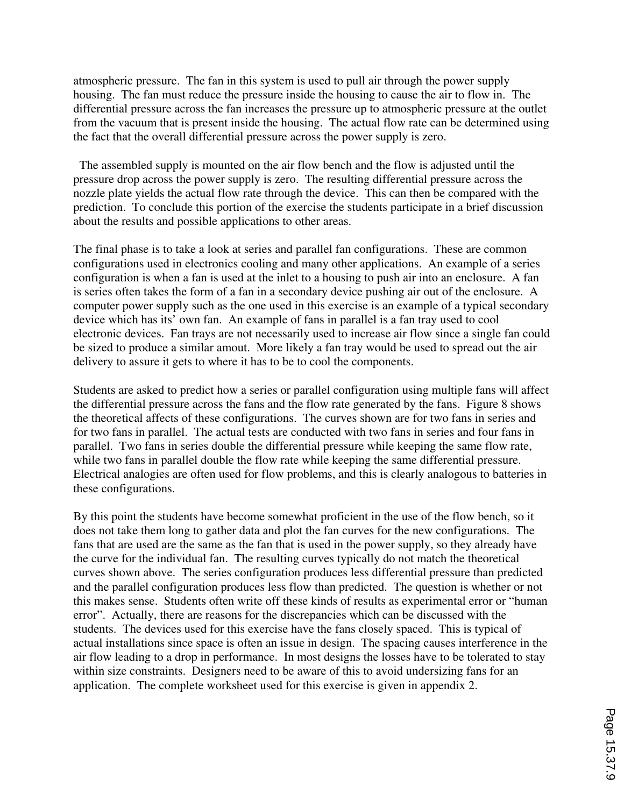atmospheric pressure. The fan in this system is used to pull air through the power supply housing. The fan must reduce the pressure inside the housing to cause the air to flow in. The differential pressure across the fan increases the pressure up to atmospheric pressure at the outlet from the vacuum that is present inside the housing. The actual flow rate can be determined using the fact that the overall differential pressure across the power supply is zero.

 The assembled supply is mounted on the air flow bench and the flow is adjusted until the pressure drop across the power supply is zero. The resulting differential pressure across the nozzle plate yields the actual flow rate through the device. This can then be compared with the prediction. To conclude this portion of the exercise the students participate in a brief discussion about the results and possible applications to other areas.

The final phase is to take a look at series and parallel fan configurations. These are common configurations used in electronics cooling and many other applications. An example of a series configuration is when a fan is used at the inlet to a housing to push air into an enclosure. A fan is series often takes the form of a fan in a secondary device pushing air out of the enclosure. A computer power supply such as the one used in this exercise is an example of a typical secondary device which has its' own fan. An example of fans in parallel is a fan tray used to cool electronic devices. Fan trays are not necessarily used to increase air flow since a single fan could be sized to produce a similar amout. More likely a fan tray would be used to spread out the air delivery to assure it gets to where it has to be to cool the components.

Students are asked to predict how a series or parallel configuration using multiple fans will affect the differential pressure across the fans and the flow rate generated by the fans. Figure 8 shows the theoretical affects of these configurations. The curves shown are for two fans in series and for two fans in parallel. The actual tests are conducted with two fans in series and four fans in parallel. Two fans in series double the differential pressure while keeping the same flow rate, while two fans in parallel double the flow rate while keeping the same differential pressure. Electrical analogies are often used for flow problems, and this is clearly analogous to batteries in these configurations.

By this point the students have become somewhat proficient in the use of the flow bench, so it does not take them long to gather data and plot the fan curves for the new configurations. The fans that are used are the same as the fan that is used in the power supply, so they already have the curve for the individual fan. The resulting curves typically do not match the theoretical curves shown above. The series configuration produces less differential pressure than predicted and the parallel configuration produces less flow than predicted. The question is whether or not this makes sense. Students often write off these kinds of results as experimental error or "human error". Actually, there are reasons for the discrepancies which can be discussed with the students. The devices used for this exercise have the fans closely spaced. This is typical of actual installations since space is often an issue in design. The spacing causes interference in the air flow leading to a drop in performance. In most designs the losses have to be tolerated to stay within size constraints. Designers need to be aware of this to avoid undersizing fans for an application. The complete worksheet used for this exercise is given in appendix 2.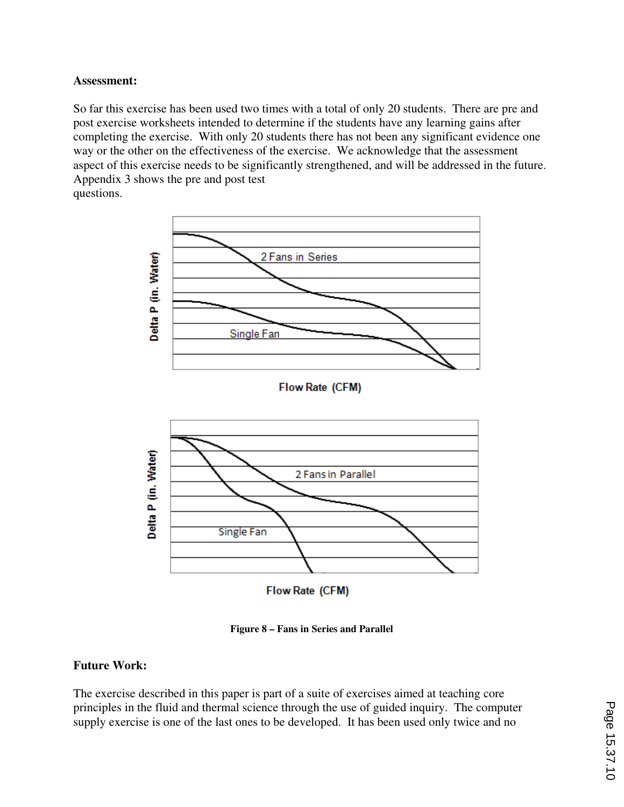#### **Assessment:**

So far this exercise has been used two times with a total of only 20 students. There are pre and post exercise worksheets intended to determine if the students have any learning gains after completing the exercise. With only 20 students there has not been any significant evidence one way or the other on the effectiveness of the exercise. We acknowledge that the assessment aspect of this exercise needs to be significantly strengthened, and will be addressed in the future. Appendix 3 shows the pre and post test questions.



**Figure 8 – Fans in Series and Parallel**

## **Future Work:**

The exercise described in this paper is part of a suite of exercises aimed at teaching core principles in the fluid and thermal science through the use of guided inquiry. The computer supply exercise is one of the last ones to be developed. It has been used only twice and no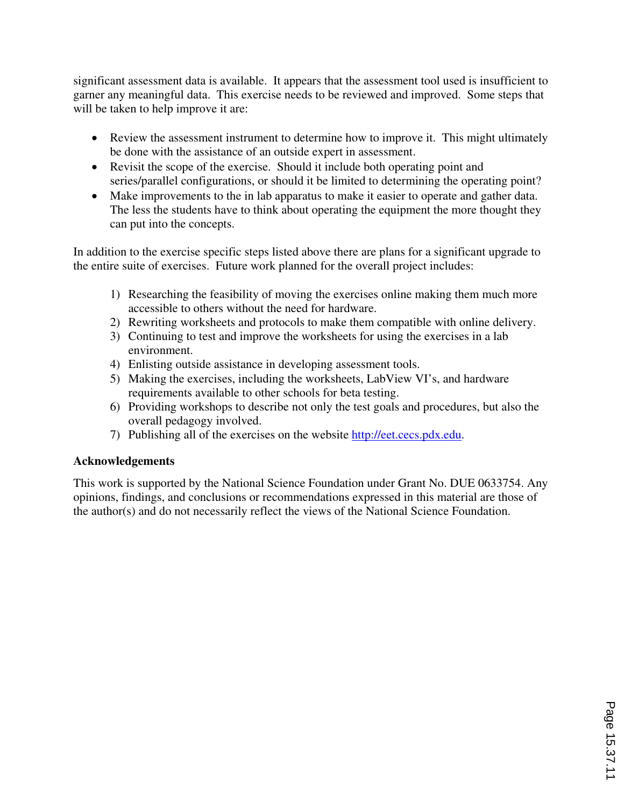significant assessment data is available. It appears that the assessment tool used is insufficient to garner any meaningful data. This exercise needs to be reviewed and improved. Some steps that will be taken to help improve it are:

- Review the assessment instrument to determine how to improve it. This might ultimately be done with the assistance of an outside expert in assessment.
- Revisit the scope of the exercise. Should it include both operating point and series/parallel configurations, or should it be limited to determining the operating point?
- Make improvements to the in lab apparatus to make it easier to operate and gather data. The less the students have to think about operating the equipment the more thought they can put into the concepts.

In addition to the exercise specific steps listed above there are plans for a significant upgrade to the entire suite of exercises. Future work planned for the overall project includes:

- 1) Researching the feasibility of moving the exercises online making them much more accessible to others without the need for hardware.
- 2) Rewriting worksheets and protocols to make them compatible with online delivery.
- 3) Continuing to test and improve the worksheets for using the exercises in a lab environment.
- 4) Enlisting outside assistance in developing assessment tools.
- 5) Making the exercises, including the worksheets, LabView VI's, and hardware requirements available to other schools for beta testing.
- 6) Providing workshops to describe not only the test goals and procedures, but also the overall pedagogy involved.
- 7) Publishing all of the exercises on the website http://eet.cecs.pdx.edu.

## **Acknowledgements**

This work is supported by the National Science Foundation under Grant No. DUE 0633754. Any opinions, findings, and conclusions or recommendations expressed in this material are those of the author(s) and do not necessarily reflect the views of the National Science Foundation.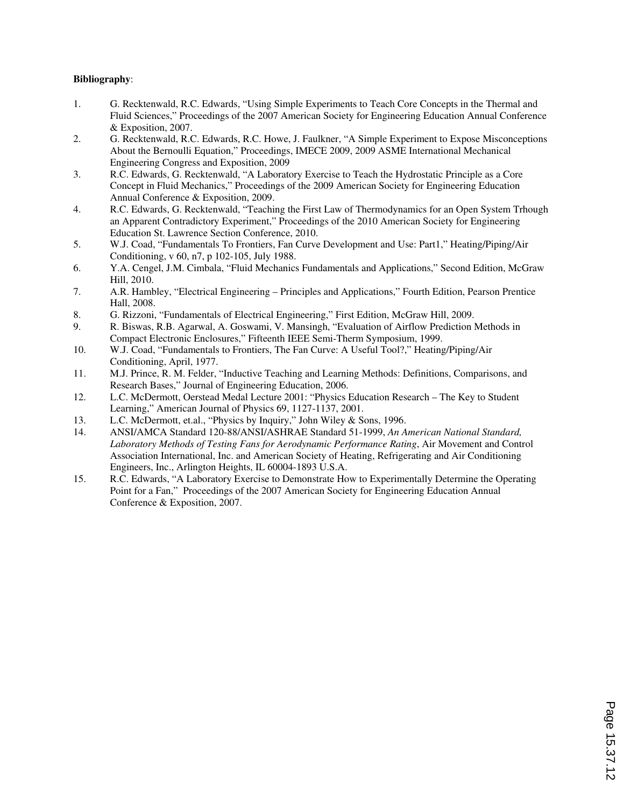#### **Bibliography**:

- 1. G. Recktenwald, R.C. Edwards, "Using Simple Experiments to Teach Core Concepts in the Thermal and Fluid Sciences," Proceedings of the 2007 American Society for Engineering Education Annual Conference & Exposition, 2007.
- 2. G. Recktenwald, R.C. Edwards, R.C. Howe, J. Faulkner, "A Simple Experiment to Expose Misconceptions About the Bernoulli Equation," Proceedings, IMECE 2009, 2009 ASME International Mechanical Engineering Congress and Exposition, 2009
- 3. R.C. Edwards, G. Recktenwald, "A Laboratory Exercise to Teach the Hydrostatic Principle as a Core Concept in Fluid Mechanics," Proceedings of the 2009 American Society for Engineering Education Annual Conference & Exposition, 2009.
- 4. R.C. Edwards, G. Recktenwald, "Teaching the First Law of Thermodynamics for an Open System Trhough an Apparent Contradictory Experiment," Proceedings of the 2010 American Society for Engineering Education St. Lawrence Section Conference, 2010.
- 5. W.J. Coad, "Fundamentals To Frontiers, Fan Curve Development and Use: Part1," Heating/Piping/Air Conditioning, v 60, n7, p 102-105, July 1988.
- 6. Y.A. Cengel, J.M. Cimbala, "Fluid Mechanics Fundamentals and Applications," Second Edition, McGraw Hill, 2010.
- 7. A.R. Hambley, "Electrical Engineering Principles and Applications," Fourth Edition, Pearson Prentice Hall, 2008.
- 8. G. Rizzoni, "Fundamentals of Electrical Engineering," First Edition, McGraw Hill, 2009.
- 9. R. Biswas, R.B. Agarwal, A. Goswami, V. Mansingh, "Evaluation of Airflow Prediction Methods in Compact Electronic Enclosures," Fifteenth IEEE Semi-Therm Symposium, 1999.
- 10. W.J. Coad, "Fundamentals to Frontiers, The Fan Curve: A Useful Tool?," Heating/Piping/Air Conditioning, April, 1977.
- 11. M.J. Prince, R. M. Felder, "Inductive Teaching and Learning Methods: Definitions, Comparisons, and Research Bases," Journal of Engineering Education, 2006.
- 12. L.C. McDermott, Oerstead Medal Lecture 2001: "Physics Education Research The Key to Student Learning," American Journal of Physics 69, 1127-1137, 2001.
- 13. L.C. McDermott, et.al., "Physics by Inquiry," John Wiley & Sons, 1996.
- 14. ANSI/AMCA Standard 120-88/ANSI/ASHRAE Standard 51-1999, *An American National Standard, Laboratory Methods of Testing Fans for Aerodynamic Performance Rating*, Air Movement and Control Association International, Inc. and American Society of Heating, Refrigerating and Air Conditioning Engineers, Inc., Arlington Heights, IL 60004-1893 U.S.A.
- 15. R.C. Edwards, "A Laboratory Exercise to Demonstrate How to Experimentally Determine the Operating Point for a Fan," Proceedings of the 2007 American Society for Engineering Education Annual Conference & Exposition, 2007.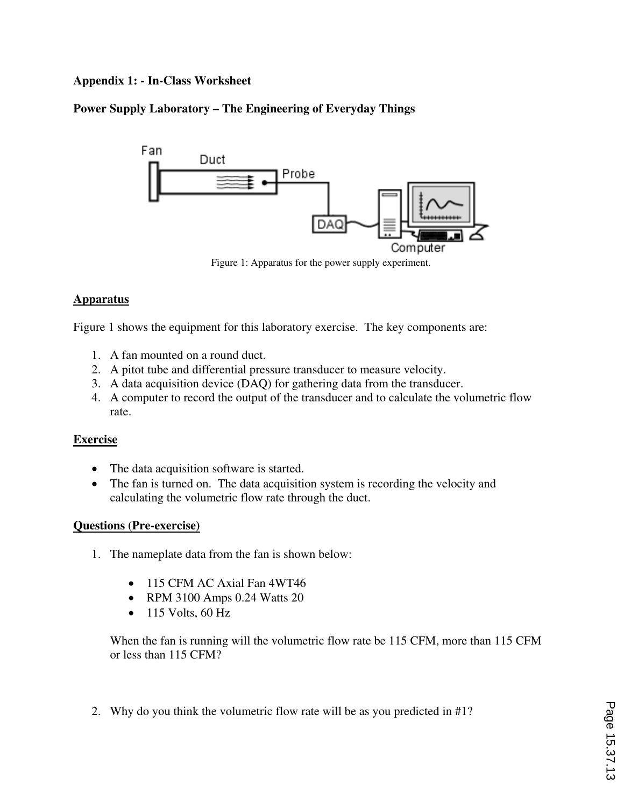## **Appendix 1: - In-Class Worksheet**

## **Power Supply Laboratory – The Engineering of Everyday Things**



Figure 1: Apparatus for the power supply experiment.

## **Apparatus**

Figure 1 shows the equipment for this laboratory exercise. The key components are:

- 1. A fan mounted on a round duct.
- 2. A pitot tube and differential pressure transducer to measure velocity.
- 3. A data acquisition device (DAQ) for gathering data from the transducer.
- 4. A computer to record the output of the transducer and to calculate the volumetric flow rate.

## **Exercise**

- The data acquisition software is started.
- The fan is turned on. The data acquisition system is recording the velocity and calculating the volumetric flow rate through the duct.

## **Questions (Pre-exercise)**

- 1. The nameplate data from the fan is shown below:
	- 115 CFM AC Axial Fan 4WT46
	- RPM 3100 Amps 0.24 Watts 20
	- $\bullet$  115 Volts, 60 Hz

When the fan is running will the volumetric flow rate be 115 CFM, more than 115 CFM or less than 115 CFM?

2. Why do you think the volumetric flow rate will be as you predicted in #1?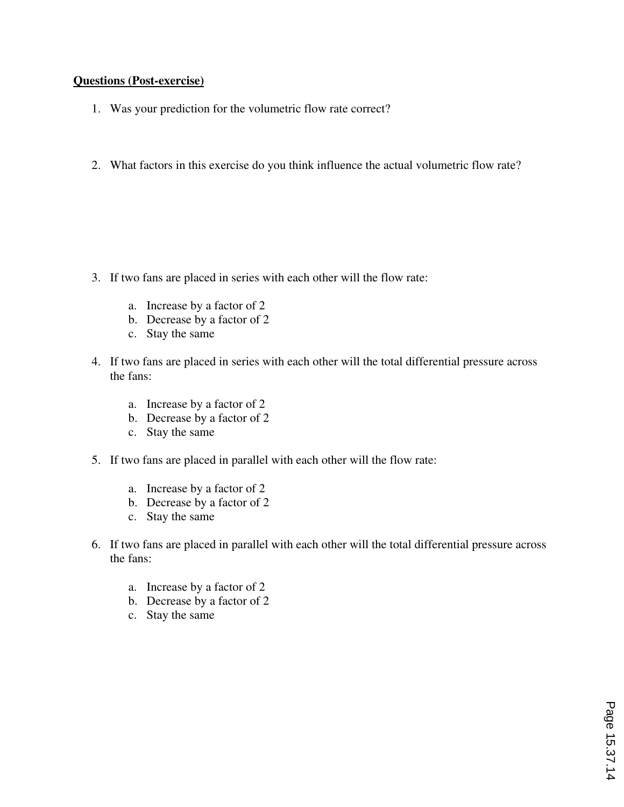#### **Questions (Post-exercise)**

- 1. Was your prediction for the volumetric flow rate correct?
- 2. What factors in this exercise do you think influence the actual volumetric flow rate?

- 3. If two fans are placed in series with each other will the flow rate:
	- a. Increase by a factor of 2
	- b. Decrease by a factor of 2
	- c. Stay the same
- 4. If two fans are placed in series with each other will the total differential pressure across the fans:
	- a. Increase by a factor of 2
	- b. Decrease by a factor of 2
	- c. Stay the same
- 5. If two fans are placed in parallel with each other will the flow rate:
	- a. Increase by a factor of 2
	- b. Decrease by a factor of 2
	- c. Stay the same
- 6. If two fans are placed in parallel with each other will the total differential pressure across the fans:
	- a. Increase by a factor of 2
	- b. Decrease by a factor of 2
	- c. Stay the same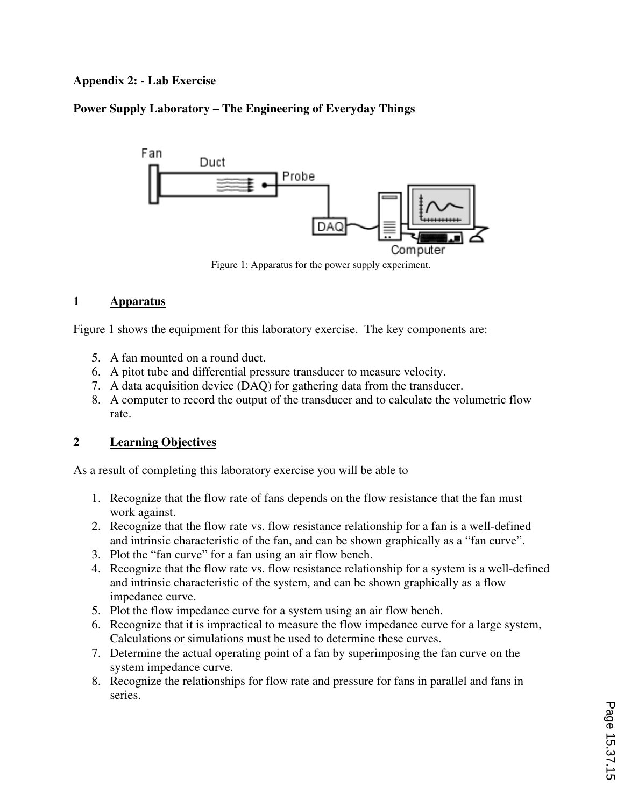## **Appendix 2: - Lab Exercise**

## **Power Supply Laboratory – The Engineering of Everyday Things**



Figure 1: Apparatus for the power supply experiment.

#### **1 Apparatus**

Figure 1 shows the equipment for this laboratory exercise. The key components are:

- 5. A fan mounted on a round duct.
- 6. A pitot tube and differential pressure transducer to measure velocity.
- 7. A data acquisition device (DAQ) for gathering data from the transducer.
- 8. A computer to record the output of the transducer and to calculate the volumetric flow rate.

## **2 Learning Objectives**

As a result of completing this laboratory exercise you will be able to

- 1. Recognize that the flow rate of fans depends on the flow resistance that the fan must work against.
- 2. Recognize that the flow rate vs. flow resistance relationship for a fan is a well-defined and intrinsic characteristic of the fan, and can be shown graphically as a "fan curve".
- 3. Plot the "fan curve" for a fan using an air flow bench.
- 4. Recognize that the flow rate vs. flow resistance relationship for a system is a well-defined and intrinsic characteristic of the system, and can be shown graphically as a flow impedance curve.
- 5. Plot the flow impedance curve for a system using an air flow bench.
- 6. Recognize that it is impractical to measure the flow impedance curve for a large system, Calculations or simulations must be used to determine these curves.
- 7. Determine the actual operating point of a fan by superimposing the fan curve on the system impedance curve.
- 8. Recognize the relationships for flow rate and pressure for fans in parallel and fans in series.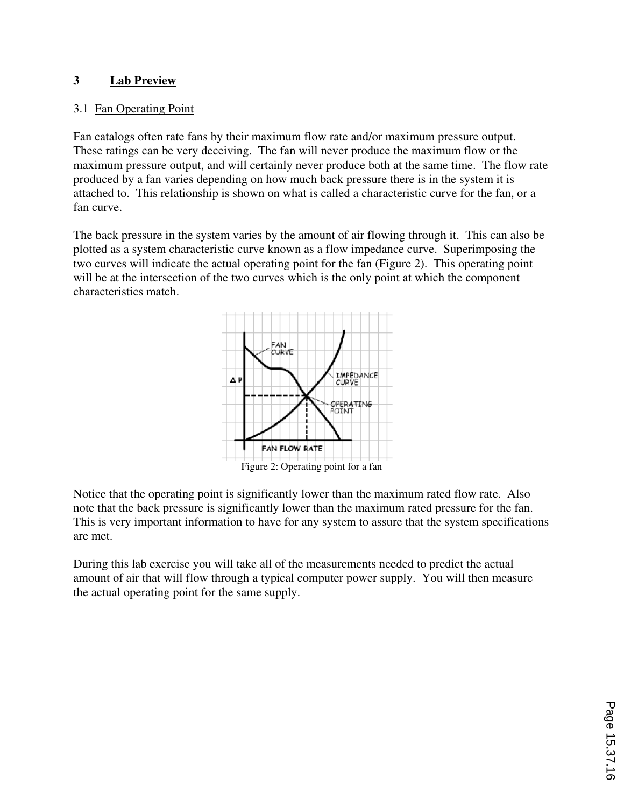## **3 Lab Preview**

## 3.1 Fan Operating Point

Fan catalogs often rate fans by their maximum flow rate and/or maximum pressure output. These ratings can be very deceiving. The fan will never produce the maximum flow or the maximum pressure output, and will certainly never produce both at the same time. The flow rate produced by a fan varies depending on how much back pressure there is in the system it is attached to. This relationship is shown on what is called a characteristic curve for the fan, or a fan curve.

The back pressure in the system varies by the amount of air flowing through it. This can also be plotted as a system characteristic curve known as a flow impedance curve. Superimposing the two curves will indicate the actual operating point for the fan (Figure 2). This operating point will be at the intersection of the two curves which is the only point at which the component characteristics match.



Notice that the operating point is significantly lower than the maximum rated flow rate. Also note that the back pressure is significantly lower than the maximum rated pressure for the fan. This is very important information to have for any system to assure that the system specifications are met.

During this lab exercise you will take all of the measurements needed to predict the actual amount of air that will flow through a typical computer power supply. You will then measure the actual operating point for the same supply.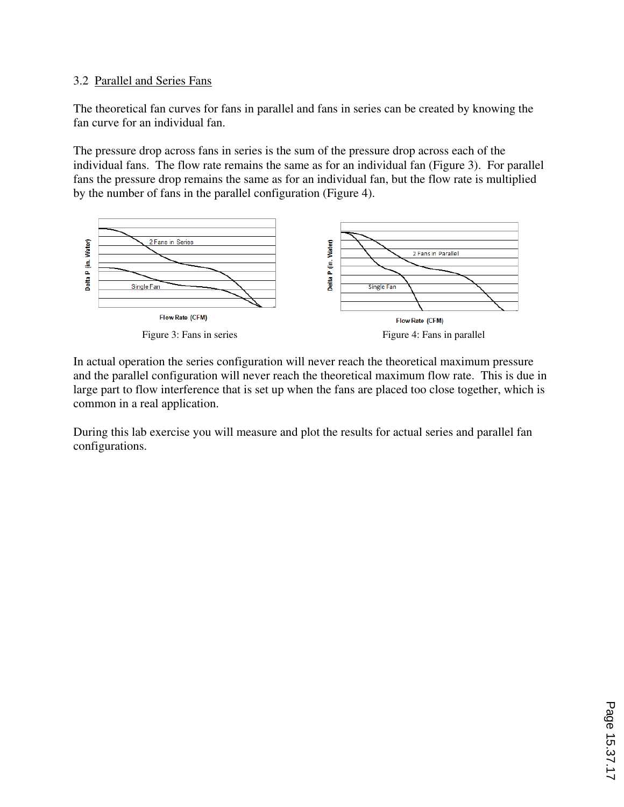## 3.2 Parallel and Series Fans

The theoretical fan curves for fans in parallel and fans in series can be created by knowing the fan curve for an individual fan.

The pressure drop across fans in series is the sum of the pressure drop across each of the individual fans. The flow rate remains the same as for an individual fan (Figure 3). For parallel fans the pressure drop remains the same as for an individual fan, but the flow rate is multiplied by the number of fans in the parallel configuration (Figure 4).



In actual operation the series configuration will never reach the theoretical maximum pressure and the parallel configuration will never reach the theoretical maximum flow rate. This is due in large part to flow interference that is set up when the fans are placed too close together, which is common in a real application.

During this lab exercise you will measure and plot the results for actual series and parallel fan configurations.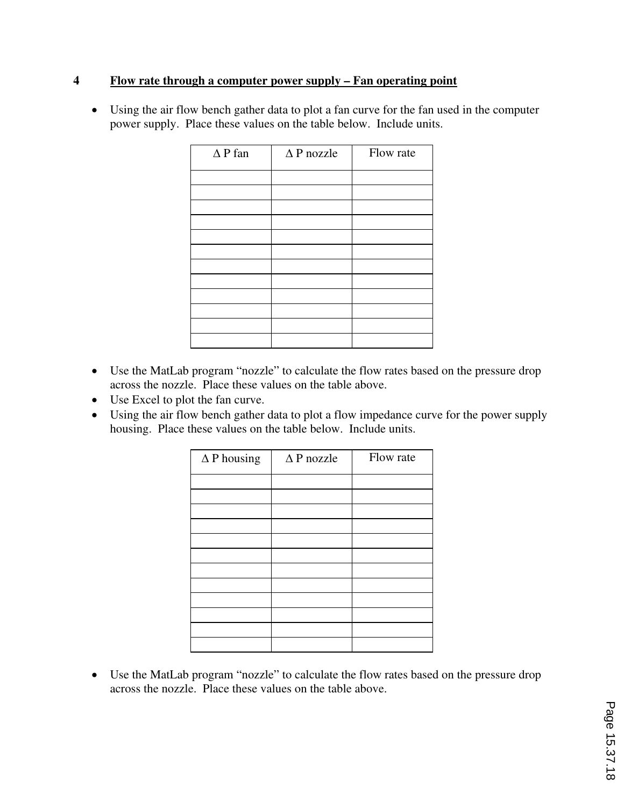## **4 Flow rate through a computer power supply – Fan operating point**

• Using the air flow bench gather data to plot a fan curve for the fan used in the computer power supply. Place these values on the table below. Include units.

| $\Delta P$ fan | $\Delta P$ nozzle | Flow rate |
|----------------|-------------------|-----------|
|                |                   |           |
|                |                   |           |
|                |                   |           |
|                |                   |           |
|                |                   |           |
|                |                   |           |
|                |                   |           |
|                |                   |           |
|                |                   |           |
|                |                   |           |
|                |                   |           |
|                |                   |           |
|                |                   |           |
|                |                   |           |

- Use the MatLab program "nozzle" to calculate the flow rates based on the pressure drop across the nozzle. Place these values on the table above.
- Use Excel to plot the fan curve.
- Using the air flow bench gather data to plot a flow impedance curve for the power supply housing. Place these values on the table below. Include units.

| $\Delta P$ housing | $\triangle$ P nozzle | Flow rate |
|--------------------|----------------------|-----------|
|                    |                      |           |
|                    |                      |           |
|                    |                      |           |
|                    |                      |           |
|                    |                      |           |
|                    |                      |           |
|                    |                      |           |
|                    |                      |           |
|                    |                      |           |
|                    |                      |           |
|                    |                      |           |

• Use the MatLab program "nozzle" to calculate the flow rates based on the pressure drop across the nozzle. Place these values on the table above.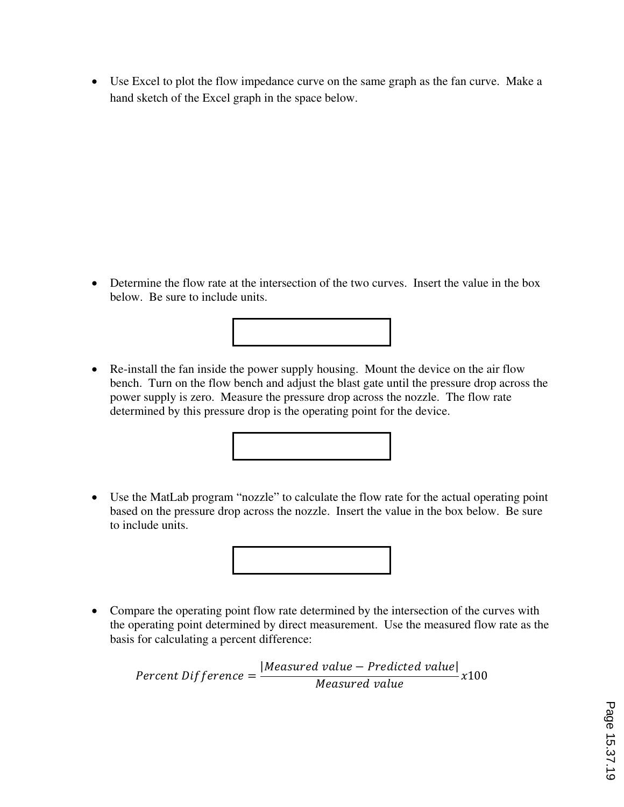• Use Excel to plot the flow impedance curve on the same graph as the fan curve. Make a hand sketch of the Excel graph in the space below.

- Determine the flow rate at the intersection of the two curves. Insert the value in the box below. Be sure to include units.
- Re-install the fan inside the power supply housing. Mount the device on the air flow bench. Turn on the flow bench and adjust the blast gate until the pressure drop across the power supply is zero. Measure the pressure drop across the nozzle. The flow rate determined by this pressure drop is the operating point for the device.



• Use the MatLab program "nozzle" to calculate the flow rate for the actual operating point based on the pressure drop across the nozzle. Insert the value in the box below. Be sure to include units.



• Compare the operating point flow rate determined by the intersection of the curves with the operating point determined by direct measurement. Use the measured flow rate as the basis for calculating a percent difference:

 $Percent \; Diff \; erence =$  $[Measured$  value  $-$  Predicted value $]$  $Measured$  value  $x100$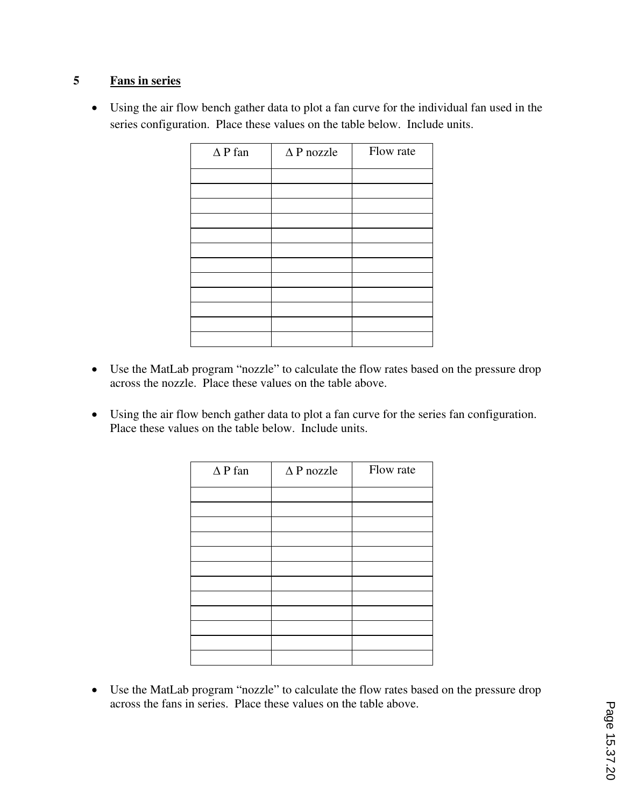## **5 Fans in series**

• Using the air flow bench gather data to plot a fan curve for the individual fan used in the series configuration. Place these values on the table below. Include units.

| $\Delta P$ fan | $\triangle P$ nozzle | Flow rate |
|----------------|----------------------|-----------|
|                |                      |           |
|                |                      |           |
|                |                      |           |
|                |                      |           |
|                |                      |           |
|                |                      |           |
|                |                      |           |
|                |                      |           |
|                |                      |           |
|                |                      |           |
|                |                      |           |
|                |                      |           |

- Use the MatLab program "nozzle" to calculate the flow rates based on the pressure drop across the nozzle. Place these values on the table above.
- Using the air flow bench gather data to plot a fan curve for the series fan configuration. Place these values on the table below. Include units.

| $\triangle$ P nozzle | Flow rate |
|----------------------|-----------|
|                      |           |
|                      |           |
|                      |           |
|                      |           |
|                      |           |
|                      |           |
|                      |           |
|                      |           |
|                      |           |
|                      |           |
|                      |           |
|                      |           |

• Use the MatLab program "nozzle" to calculate the flow rates based on the pressure drop across the fans in series. Place these values on the table above.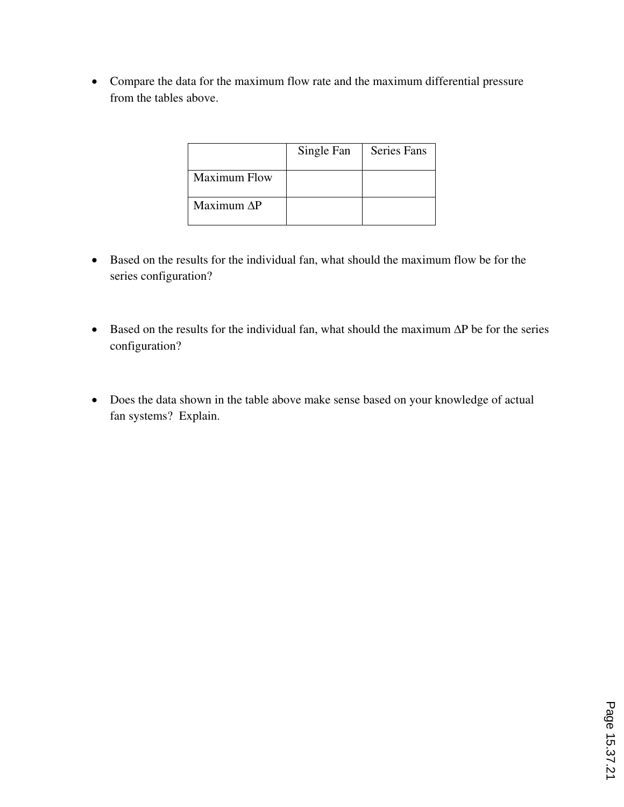• Compare the data for the maximum flow rate and the maximum differential pressure from the tables above.

|                     | Single Fan | <b>Series Fans</b> |
|---------------------|------------|--------------------|
| <b>Maximum Flow</b> |            |                    |
| Maximum AP          |            |                    |

- Based on the results for the individual fan, what should the maximum flow be for the series configuration?
- Based on the results for the individual fan, what should the maximum  $\Delta P$  be for the series configuration?
- Does the data shown in the table above make sense based on your knowledge of actual fan systems? Explain.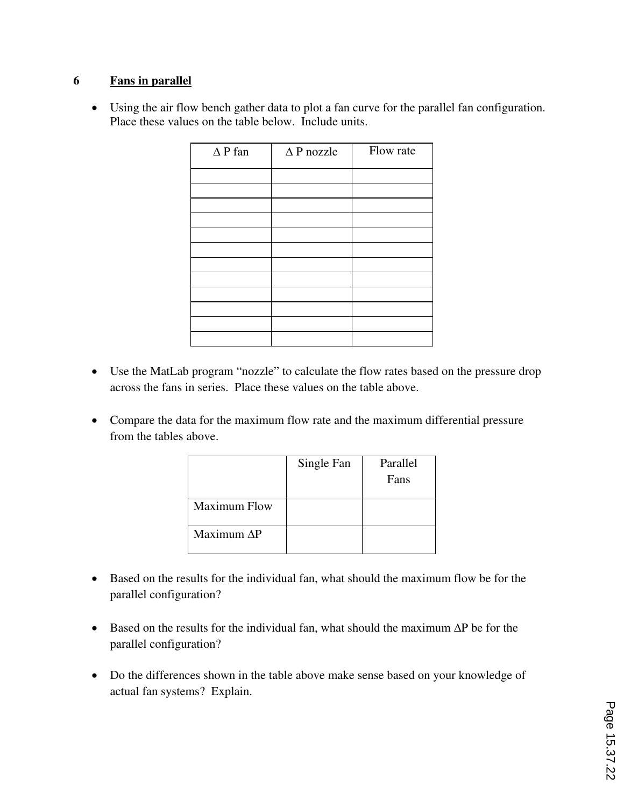## **6 Fans in parallel**

• Using the air flow bench gather data to plot a fan curve for the parallel fan configuration. Place these values on the table below. Include units.

| $\Delta P$ fan | $\Delta P$ nozzle | Flow rate |
|----------------|-------------------|-----------|
|                |                   |           |
|                |                   |           |
|                |                   |           |
|                |                   |           |
|                |                   |           |
|                |                   |           |
|                |                   |           |
|                |                   |           |
|                |                   |           |
|                |                   |           |
|                |                   |           |
|                |                   |           |

- Use the MatLab program "nozzle" to calculate the flow rates based on the pressure drop across the fans in series. Place these values on the table above.
- Compare the data for the maximum flow rate and the maximum differential pressure from the tables above.

|                     | Single Fan | Parallel<br>Fans |
|---------------------|------------|------------------|
| <b>Maximum Flow</b> |            |                  |
| Maximum $\Delta P$  |            |                  |

- Based on the results for the individual fan, what should the maximum flow be for the parallel configuration?
- Based on the results for the individual fan, what should the maximum ΔP be for the parallel configuration?
- Do the differences shown in the table above make sense based on your knowledge of actual fan systems? Explain.